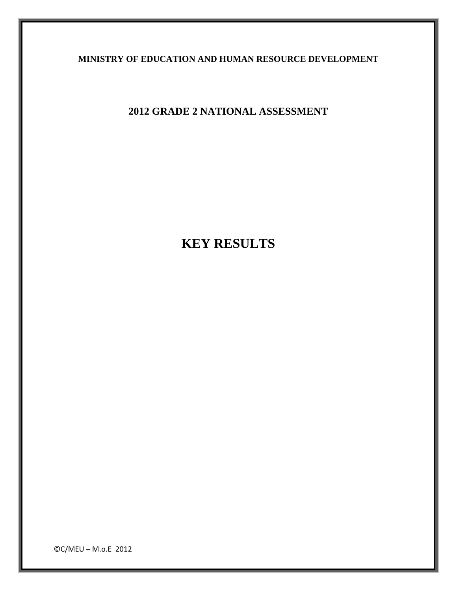**MINISTRY OF EDUCATION AND HUMAN RESOURCE DEVELOPMENT** 

**2012 GRADE 2 NATIONAL ASSESSMENT** 

**KEY RESULTS** 

©C/MEU – M.o.E 2012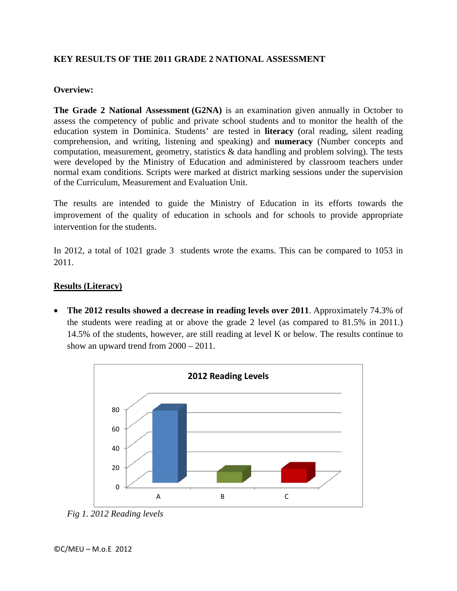# **KEY RESULTS OF THE 2011 GRADE 2 NATIONAL ASSESSMENT**

### **Overview:**

**The Grade 2 National Assessment (G2NA)** is an examination given annually in October to assess the competency of public and private school students and to monitor the health of the education system in Dominica. Students' are tested in **literacy** (oral reading, silent reading comprehension, and writing, listening and speaking) and **numeracy** (Number concepts and computation, measurement, geometry, statistics  $\&$  data handling and problem solving). The tests were developed by the Ministry of Education and administered by classroom teachers under normal exam conditions. Scripts were marked at district marking sessions under the supervision of the Curriculum, Measurement and Evaluation Unit.

The results are intended to guide the Ministry of Education in its efforts towards the improvement of the quality of education in schools and for schools to provide appropriate intervention for the students.

In 2012, a total of 1021 grade 3 students wrote the exams. This can be compared to 1053 in 2011.

## **Results (Literacy)**

 **The 2012 results showed a decrease in reading levels over 2011**. Approximately 74.3% of the students were reading at or above the grade 2 level (as compared to 81.5% in 2011.) 14.5% of the students, however, are still reading at level K or below. The results continue to show an upward trend from 2000 – 2011.



*Fig 1. 2012 Reading levels*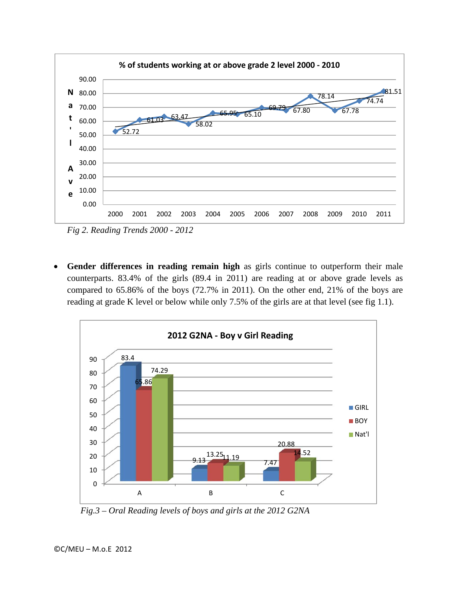

*Fig 2. Reading Trends 2000 - 2012* 

 **Gender differences in reading remain high** as girls continue to outperform their male counterparts. 83.4% of the girls (89.4 in 2011) are reading at or above grade levels as compared to 65.86% of the boys (72.7% in 2011). On the other end, 21% of the boys are reading at grade K level or below while only 7.5% of the girls are at that level (see fig 1.1).



 *Fig.3 – Oral Reading levels of boys and girls at the 2012 G2NA*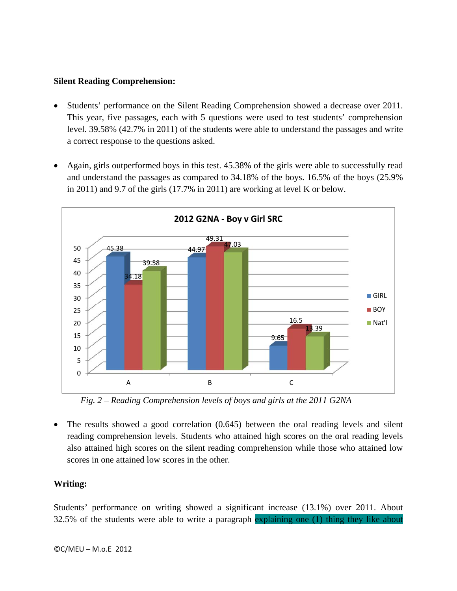#### **Silent Reading Comprehension:**

- Students' performance on the Silent Reading Comprehension showed a decrease over 2011. This year, five passages, each with 5 questions were used to test students' comprehension level. 39.58% (42.7% in 2011) of the students were able to understand the passages and write a correct response to the questions asked.
- Again, girls outperformed boys in this test. 45.38% of the girls were able to successfully read and understand the passages as compared to 34.18% of the boys. 16.5% of the boys (25.9% in 2011) and 9.7 of the girls (17.7% in 2011) are working at level K or below.



 *Fig. 2 – Reading Comprehension levels of boys and girls at the 2011 G2NA*

 The results showed a good correlation (0.645) between the oral reading levels and silent reading comprehension levels. Students who attained high scores on the oral reading levels also attained high scores on the silent reading comprehension while those who attained low scores in one attained low scores in the other.

#### **Writing:**

Students' performance on writing showed a significant increase (13.1%) over 2011. About 32.5% of the students were able to write a paragraph explaining one (1) thing they like about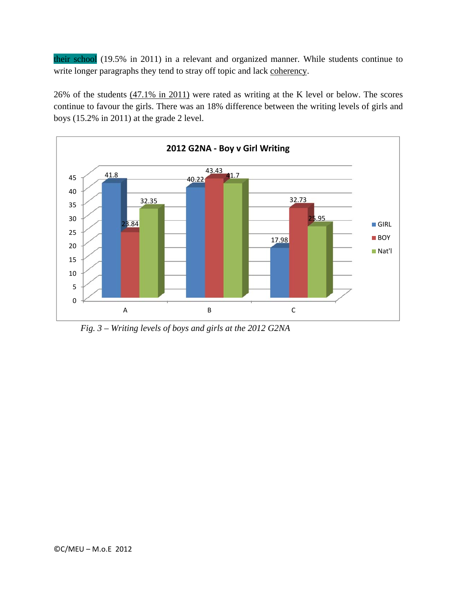their school (19.5% in 2011) in a relevant and organized manner. While students continue to write longer paragraphs they tend to stray off topic and lack coherency.

26% of the students (47.1% in 2011) were rated as writing at the K level or below. The scores continue to favour the girls. There was an 18% difference between the writing levels of girls and boys (15.2% in 2011) at the grade 2 level.



 *Fig. 3 – Writing levels of boys and girls at the 2012 G2NA*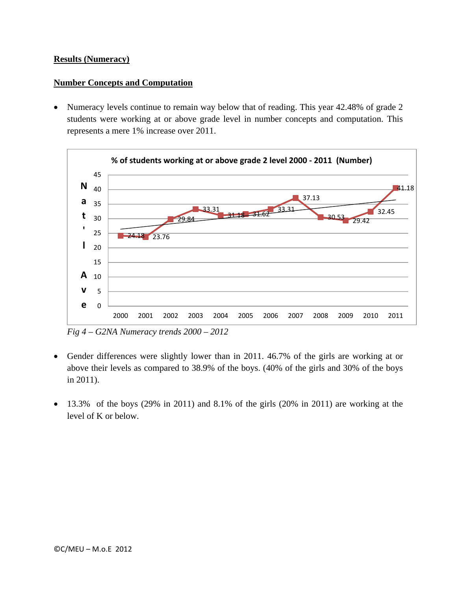## **Results (Numeracy)**

#### **Number Concepts and Computation**

 Numeracy levels continue to remain way below that of reading. This year 42.48% of grade 2 students were working at or above grade level in number concepts and computation. This represents a mere 1% increase over 2011.



*Fig 4 – G2NA Numeracy trends 2000 – 2012* 

- Gender differences were slightly lower than in 2011. 46.7% of the girls are working at or above their levels as compared to 38.9% of the boys. (40% of the girls and 30% of the boys in 2011).
- 13.3% of the boys (29% in 2011) and 8.1% of the girls (20% in 2011) are working at the level of K or below.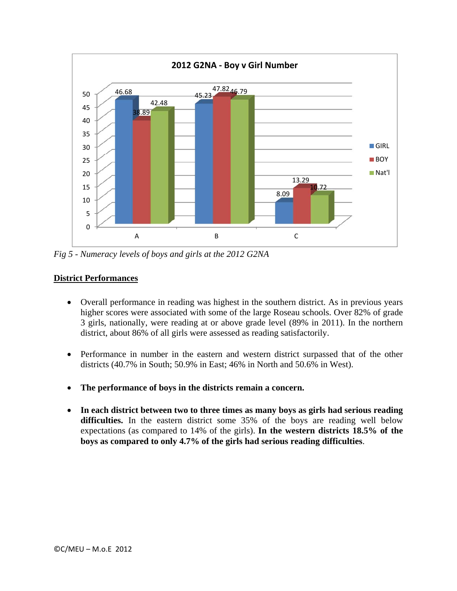

*Fig 5 - Numeracy levels of boys and girls at the 2012 G2NA* 

# **District Performances**

- Overall performance in reading was highest in the southern district. As in previous years higher scores were associated with some of the large Roseau schools. Over 82% of grade 3 girls, nationally, were reading at or above grade level (89% in 2011). In the northern district, about 86% of all girls were assessed as reading satisfactorily.
- Performance in number in the eastern and western district surpassed that of the other districts (40.7% in South; 50.9% in East; 46% in North and 50.6% in West).
- **The performance of boys in the districts remain a concern.**
- **In each district between two to three times as many boys as girls had serious reading difficulties.** In the eastern district some 35% of the boys are reading well below expectations (as compared to 14% of the girls). **In the western districts 18.5% of the boys as compared to only 4.7% of the girls had serious reading difficulties**.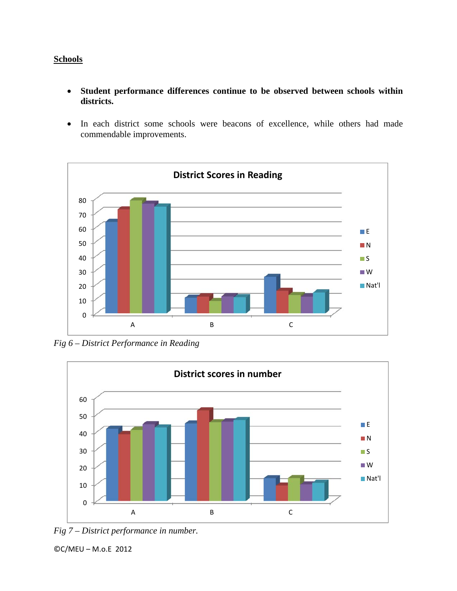# **Schools**

- **Student performance differences continue to be observed between schools within districts.**
- In each district some schools were beacons of excellence, while others had made commendable improvements.



*Fig 6 – District Performance in Reading* 





©C/MEU – M.o.E 2012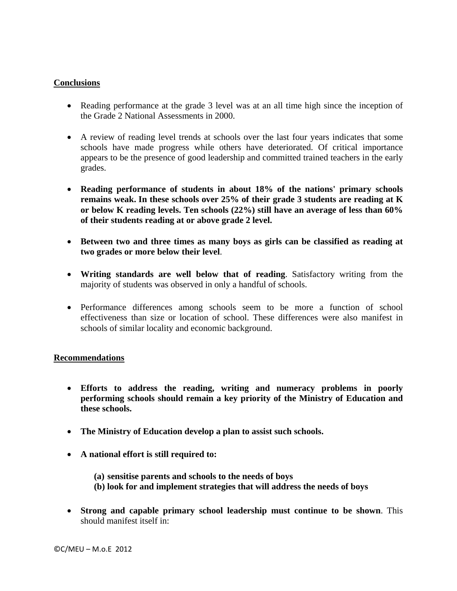### **Conclusions**

- Reading performance at the grade 3 level was at an all time high since the inception of the Grade 2 National Assessments in 2000.
- A review of reading level trends at schools over the last four years indicates that some schools have made progress while others have deteriorated. Of critical importance appears to be the presence of good leadership and committed trained teachers in the early grades.
- **Reading performance of students in about 18% of the nations' primary schools remains weak. In these schools over 25% of their grade 3 students are reading at K or below K reading levels. Ten schools (22%) still have an average of less than 60% of their students reading at or above grade 2 level.**
- **Between two and three times as many boys as girls can be classified as reading at two grades or more below their level**.
- **Writing standards are well below that of reading**. Satisfactory writing from the majority of students was observed in only a handful of schools.
- Performance differences among schools seem to be more a function of school effectiveness than size or location of school. These differences were also manifest in schools of similar locality and economic background.

#### **Recommendations**

- **Efforts to address the reading, writing and numeracy problems in poorly performing schools should remain a key priority of the Ministry of Education and these schools.**
- **The Ministry of Education develop a plan to assist such schools.**
- **A national effort is still required to:** 
	- **(a) sensitise parents and schools to the needs of boys**
	- **(b) look for and implement strategies that will address the needs of boys**
- **Strong and capable primary school leadership must continue to be shown**. This should manifest itself in: